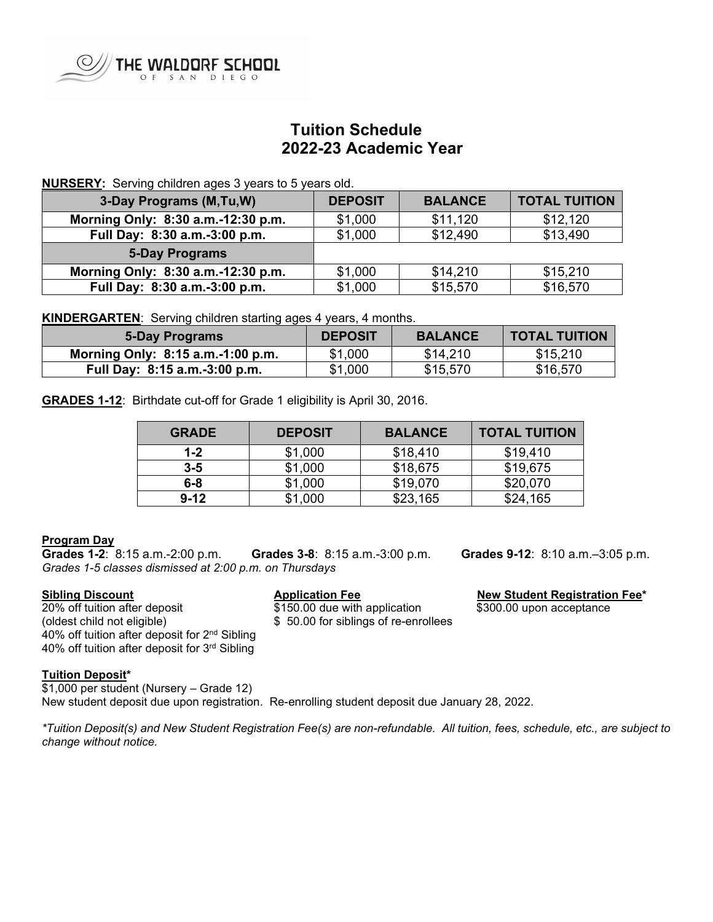

# **Tuition Schedule 2022-23 Academic Year**

# **NURSERY:** Serving children ages 3 years to 5 years old.

| 3-Day Programs (M,Tu,W)            | <b>DEPOSIT</b> | <b>BALANCE</b> | <b>TOTAL TUITION</b> |
|------------------------------------|----------------|----------------|----------------------|
| Morning Only: 8:30 a.m.-12:30 p.m. | \$1,000        | \$11,120       | \$12,120             |
| Full Day: 8:30 a.m.-3:00 p.m.      | \$1,000        | \$12,490       | \$13,490             |
| <b>5-Day Programs</b>              |                |                |                      |
| Morning Only: 8:30 a.m.-12:30 p.m. | \$1,000        | \$14,210       | \$15,210             |
| Full Day: 8:30 a.m.-3:00 p.m.      | \$1,000        | \$15,570       | \$16,570             |

**KINDERGARTEN**: Serving children starting ages 4 years, 4 months.

| 5-Day Programs                    | <b>DEPOSIT</b> | <b>BALANCE</b> | <b>TOTAL TUITION</b> |
|-----------------------------------|----------------|----------------|----------------------|
| Morning Only: 8:15 a.m.-1:00 p.m. | \$1,000        | \$14,210       | \$15,210             |
| Full Day: 8:15 a.m.-3:00 p.m.     | \$1,000        | \$15,570       | \$16,570             |

**GRADES 1-12**: Birthdate cut-off for Grade 1 eligibility is April 30, 2016.

| <b>GRADE</b> | <b>DEPOSIT</b> | <b>BALANCE</b> | <b>TOTAL TUITION</b> |
|--------------|----------------|----------------|----------------------|
| $1 - 2$      | \$1,000        | \$18,410       | \$19,410             |
| $3 - 5$      | \$1,000        | \$18,675       | \$19,675             |
| $6 - 8$      | \$1,000        | \$19,070       | \$20,070             |
| $9 - 12$     | \$1,000        | \$23,165       | \$24,165             |

## **Program Day**

**Grades 1-2**:8:15 a.m.-2:00 p.m. **Grades 3-8**:8:15 a.m.-3:00 p.m. **Grades 9-12**: 8:10 a.m.–3:05 p.m. *Grades 1-5 classes dismissed at 2:00 p.m. on Thursdays*

**Sibling Discount**<br>
20% off tuition after deposit<br>
20% off tuition after deposit<br>  $$150.00$  due with application<br>
300.00 upon acceptance 20% off tuition after deposit<br>
(oldest child not eligible)  $$50.00$  for siblings of re-enregtance that application  $$50.00$  for siblings of re-enregtance 40% off tuition after deposit for 2nd Sibling 40% off tuition after deposit for 3rd Sibling

\$ 50.00 for siblings of re-enrollees

## **Tuition Deposit\***

\$1,000 per student (Nursery – Grade 12) New student deposit due upon registration. Re-enrolling student deposit due January 28, 2022.

*\*Tuition Deposit(s) and New Student Registration Fee(s) are non-refundable. All tuition, fees, schedule, etc., are subject to change without notice.*